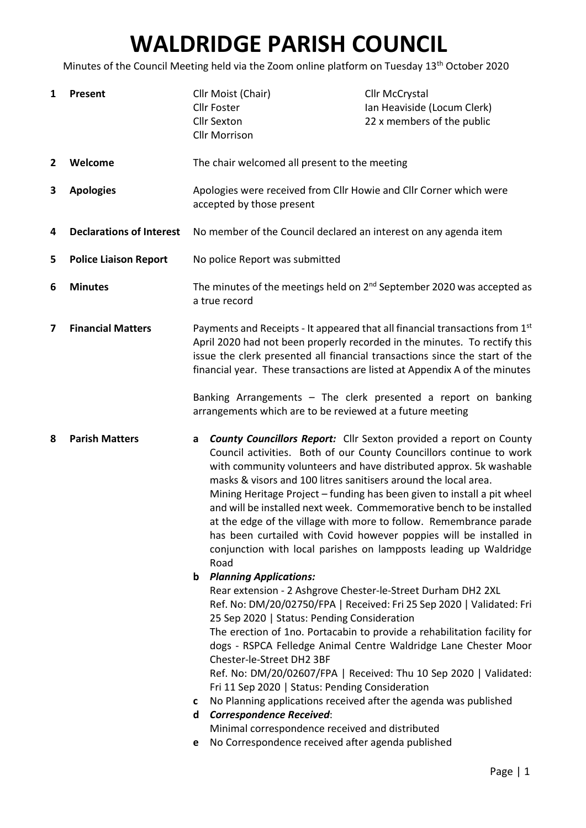## WALDRIDGE PARISH COUNCIL

Minutes of the Council Meeting held via the Zoom online platform on Tuesday 13<sup>th</sup> October 2020

| 1            | Present                         | Cllr Moist (Chair)<br><b>Cllr Foster</b><br><b>Cllr Sexton</b><br><b>Cllr Morrison</b>                                                                                                                                                                                                                                                                                                                                    | <b>Cllr McCrystal</b><br>Ian Heaviside (Locum Clerk)<br>22 x members of the public                                                                                                                                                                                                                                                                                                                                                                                                                                                                                                         |
|--------------|---------------------------------|---------------------------------------------------------------------------------------------------------------------------------------------------------------------------------------------------------------------------------------------------------------------------------------------------------------------------------------------------------------------------------------------------------------------------|--------------------------------------------------------------------------------------------------------------------------------------------------------------------------------------------------------------------------------------------------------------------------------------------------------------------------------------------------------------------------------------------------------------------------------------------------------------------------------------------------------------------------------------------------------------------------------------------|
| $\mathbf{2}$ | Welcome                         | The chair welcomed all present to the meeting                                                                                                                                                                                                                                                                                                                                                                             |                                                                                                                                                                                                                                                                                                                                                                                                                                                                                                                                                                                            |
| 3            | <b>Apologies</b>                | Apologies were received from Cllr Howie and Cllr Corner which were<br>accepted by those present                                                                                                                                                                                                                                                                                                                           |                                                                                                                                                                                                                                                                                                                                                                                                                                                                                                                                                                                            |
| 4            | <b>Declarations of Interest</b> | No member of the Council declared an interest on any agenda item                                                                                                                                                                                                                                                                                                                                                          |                                                                                                                                                                                                                                                                                                                                                                                                                                                                                                                                                                                            |
| 5            | <b>Police Liaison Report</b>    | No police Report was submitted                                                                                                                                                                                                                                                                                                                                                                                            |                                                                                                                                                                                                                                                                                                                                                                                                                                                                                                                                                                                            |
| 6            | <b>Minutes</b>                  | a true record                                                                                                                                                                                                                                                                                                                                                                                                             | The minutes of the meetings held on 2 <sup>nd</sup> September 2020 was accepted as                                                                                                                                                                                                                                                                                                                                                                                                                                                                                                         |
| 7            | <b>Financial Matters</b>        |                                                                                                                                                                                                                                                                                                                                                                                                                           | Payments and Receipts - It appeared that all financial transactions from 1st<br>April 2020 had not been properly recorded in the minutes. To rectify this<br>issue the clerk presented all financial transactions since the start of the<br>financial year. These transactions are listed at Appendix A of the minutes                                                                                                                                                                                                                                                                     |
|              |                                 | arrangements which are to be reviewed at a future meeting                                                                                                                                                                                                                                                                                                                                                                 | Banking Arrangements - The clerk presented a report on banking                                                                                                                                                                                                                                                                                                                                                                                                                                                                                                                             |
| 8            | <b>Parish Matters</b>           | a<br>masks & visors and 100 litres sanitisers around the local area.<br>Road<br><b>Planning Applications:</b><br>b                                                                                                                                                                                                                                                                                                        | <b>County Councillors Report:</b> Cllr Sexton provided a report on County<br>Council activities. Both of our County Councillors continue to work<br>with community volunteers and have distributed approx. 5k washable<br>Mining Heritage Project - funding has been given to install a pit wheel<br>and will be installed next week. Commemorative bench to be installed<br>at the edge of the village with more to follow. Remembrance parade<br>has been curtailed with Covid however poppies will be installed in<br>conjunction with local parishes on lampposts leading up Waldridge |
|              |                                 | Rear extension - 2 Ashgrove Chester-le-Street Durham DH2 2XL<br>25 Sep 2020   Status: Pending Consideration<br>Chester-le-Street DH2 3BF<br>Fri 11 Sep 2020   Status: Pending Consideration<br>No Planning applications received after the agenda was published<br>с<br><b>Correspondence Received:</b><br>d<br>Minimal correspondence received and distributed<br>No Correspondence received after agenda published<br>е | Ref. No: DM/20/02750/FPA   Received: Fri 25 Sep 2020   Validated: Fri<br>The erection of 1no. Portacabin to provide a rehabilitation facility for<br>dogs - RSPCA Felledge Animal Centre Waldridge Lane Chester Moor<br>Ref. No: DM/20/02607/FPA   Received: Thu 10 Sep 2020   Validated:                                                                                                                                                                                                                                                                                                  |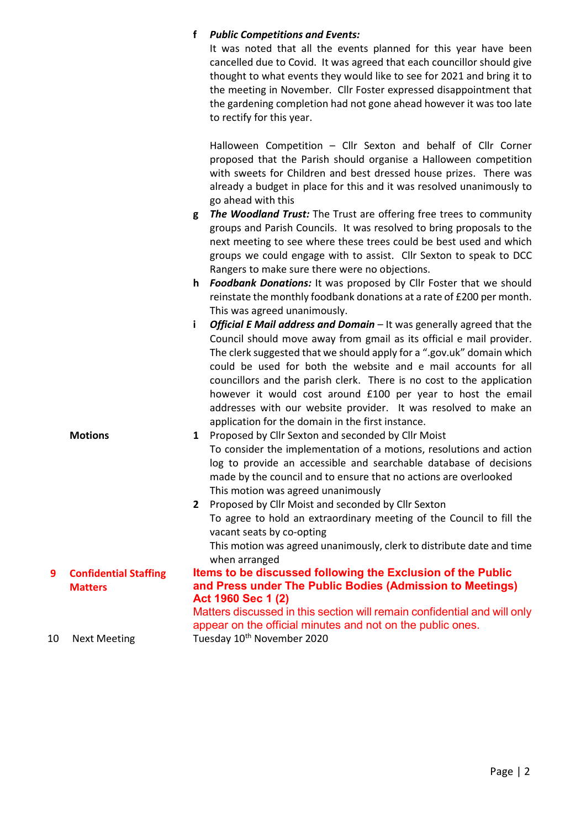## f Public Competitions and Events:

It was noted that all the events planned for this year have been cancelled due to Covid. It was agreed that each councillor should give thought to what events they would like to see for 2021 and bring it to the meeting in November. Cllr Foster expressed disappointment that the gardening completion had not gone ahead however it was too late to rectify for this year.

Halloween Competition – Cllr Sexton and behalf of Cllr Corner proposed that the Parish should organise a Halloween competition with sweets for Children and best dressed house prizes. There was already a budget in place for this and it was resolved unanimously to go ahead with this

- g The Woodland Trust: The Trust are offering free trees to community groups and Parish Councils. It was resolved to bring proposals to the next meeting to see where these trees could be best used and which groups we could engage with to assist. Cllr Sexton to speak to DCC Rangers to make sure there were no objections.
- h Foodbank Donations: It was proposed by Cllr Foster that we should reinstate the monthly foodbank donations at a rate of £200 per month. This was agreed unanimously.
- i Official E Mail address and Domain  $-$  It was generally agreed that the Council should move away from gmail as its official e mail provider. The clerk suggested that we should apply for a ".gov.uk" domain which could be used for both the website and e mail accounts for all councillors and the parish clerk. There is no cost to the application however it would cost around £100 per year to host the email addresses with our website provider. It was resolved to make an application for the domain in the first instance.

| <b>Motions</b> | 1 | Proposed by Cllr Sexton and seconded by Cllr Moist                  |
|----------------|---|---------------------------------------------------------------------|
|                |   | To consider the implementation of a motions, resolutions and action |
|                |   | log to provide an accessible and searchable database of decisions   |
|                |   | made by the council and to ensure that no actions are overlooked    |
|                |   | This motion was agreed unanimously                                  |
|                | 2 | Proposed by Cllr Moist and seconded by Cllr Sexton                  |

To agree to hold an extraordinary meeting of the Council to fill the vacant seats by co-opting This motion was agreed unanimously, clerk to distribute date and time when arranged Items to be discussed following the Exclusion of the Public

and Press under The Public Bodies (Admission to Meetings)

## 9 Confidential Staffing **Matters**

Act 1960 Sec 1 (2) Matters discussed in this section will remain confidential and will only appear on the official minutes and not on the public ones. 10 Next Meeting Tuesday 10<sup>th</sup> November 2020